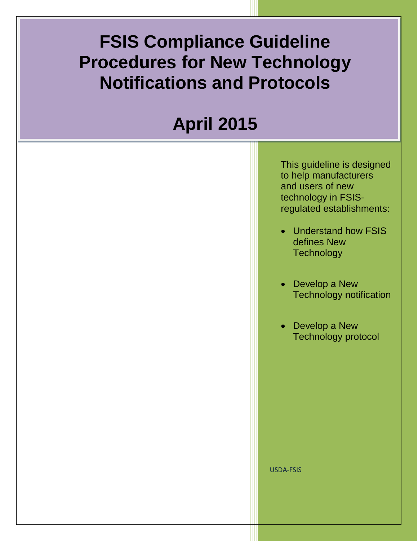## **FSIS Compliance Guideline Procedures for New Technology Notifications and Protocols**

# **April 2015**

This guideline is designed to help manufacturers and users of new technology in FSISregulated establishments:

- Understand how FSIS defines New **Technology**
- Develop a New Technology notification
- Develop a New Technology protocol

USDA-FSIS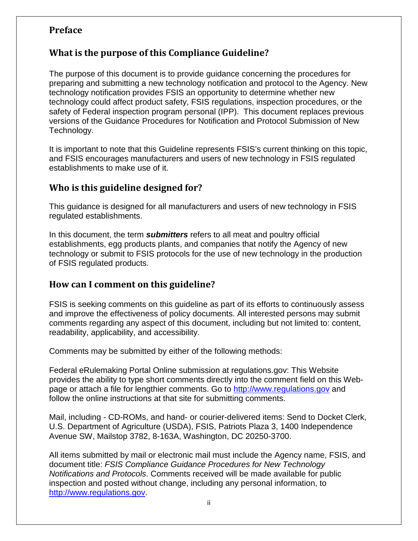#### <span id="page-1-0"></span>**Preface**

#### **What is the purpose of this Compliance Guideline?**

The purpose of this document is to provide guidance concerning the procedures for preparing and submitting a new technology notification and protocol to the Agency. New technology notification provides FSIS an opportunity to determine whether new technology could affect product safety, FSIS regulations, inspection procedures, or the safety of Federal inspection program personal (IPP). This document replaces previous versions of the Guidance Procedures for Notification and Protocol Submission of New Technology.

It is important to note that this Guideline represents FSIS's current thinking on this topic, and FSIS encourages manufacturers and users of new technology in FSIS regulated establishments to make use of it.

#### **Who is this guideline designed for?**

This guidance is designed for all manufacturers and users of new technology in FSIS regulated establishments.

In this document, the term *submitters* refers to all meat and poultry official establishments, egg products plants, and companies that notify the Agency of new technology or submit to FSIS protocols for the use of new technology in the production of FSIS regulated products.

#### **How can I comment on this guideline?**

FSIS is seeking comments on this guideline as part of its efforts to continuously assess and improve the effectiveness of policy documents. All interested persons may submit comments regarding any aspect of this document, including but not limited to: content, readability, applicability, and accessibility.

Comments may be submitted by either of the following methods:

Federal eRulemaking Portal Online submission at regulations.gov: This Website provides the ability to type short comments directly into the comment field on this Webpage or attach a file for lengthier comments. Go to [http://www.regulations.gov](http://www.regulations.gov/#!searchResults;rpp=25;po=0;s=FSIS-2015-0024;fp=true;ns=true) and follow the online instructions at that site for submitting comments.

Mail, including - CD-ROMs, and hand- or courier-delivered items: Send to Docket Clerk, U.S. Department of Agriculture (USDA), FSIS, Patriots Plaza 3, 1400 Independence Avenue SW, Mailstop 3782, 8-163A, Washington, DC 20250-3700.

All items submitted by mail or electronic mail must include the Agency name, FSIS, and document title: *FSIS Compliance Guidance Procedures for New Technology Notifications and Protocols*. Comments received will be made available for public inspection and posted without change, including any personal information, to [http://www.regulations.gov.](http://www.regulations.gov/#!searchResults;rpp=25;po=0;s=FSIS-2015-0024;fp=true;ns=true)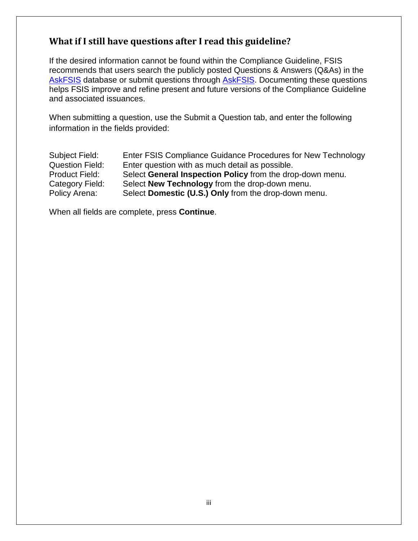#### **What if I still have questions after I read this guideline?**

If the desired information cannot be found within the Compliance Guideline, FSIS recommends that users search the publicly posted Questions & Answers (Q&As) in the [AskFSIS](http://askfsis.custhelp.com/) database or submit questions through [AskFSIS.](http://askfsis.custhelp.com/) Documenting these questions helps FSIS improve and refine present and future versions of the Compliance Guideline and associated issuances.

When submitting a question, use the Submit a Question tab, and enter the following information in the fields provided:

| Subject Field:         | Enter FSIS Compliance Guidance Procedures for New Technology |
|------------------------|--------------------------------------------------------------|
| <b>Question Field:</b> | Enter question with as much detail as possible.              |
| <b>Product Field:</b>  | Select General Inspection Policy from the drop-down menu.    |
| Category Field:        | Select New Technology from the drop-down menu.               |
| Policy Arena:          | Select Domestic (U.S.) Only from the drop-down menu.         |

When all fields are complete, press **Continue**.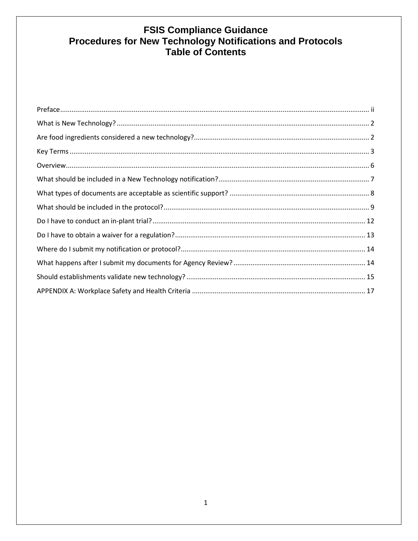# FSIS Compliance Guidance<br>Procedures for New Technology Notifications and Protocols<br>Table of Contents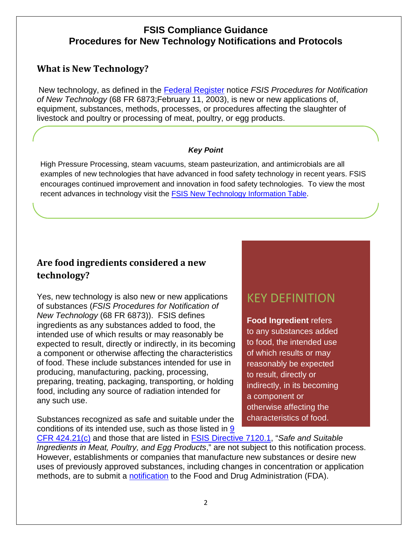#### **FSIS Compliance Guidance Procedures for New Technology Notifications and Protocols**

#### <span id="page-4-0"></span>**What is New Technology?**

New technology, as defined in the [Federal Register](http://www.fsis.usda.gov/wps/wcm/connect/f1a4b12a-5416-45e0-9ee5-ebd9d1103f60/00-011N.pdf?MOD=AJPERES) notice *FSIS Procedures for Notification of New Technology* (68 FR 6873;February 11, 2003), is new or new applications of, equipment, substances, methods, processes, or procedures affecting the slaughter of livestock and poultry or processing of meat, poultry, or egg products.

#### *Key Point*

High Pressure Processing, steam vacuums, steam pasteurization, and antimicrobials are all examples of new technologies that have advanced in food safety technology in recent years. FSIS encourages continued improvement and innovation in food safety technologies. To view the most recent advances in technology visit the [FSIS New Technology Information Table.](http://www.fsis.usda.gov/wps/portal/fsis/topics/regulatory-compliance/new-technologies/new-technology-information-table)

### <span id="page-4-1"></span>**Are food ingredients considered a new technology?**

Yes, new technology is also new or new applications of substances (*FSIS Procedures for Notification of New Technology* (68 FR 6873)). FSIS defines ingredients as any substances added to food, the intended use of which results or may reasonably be expected to result, directly or indirectly, in its becoming a component or otherwise affecting the characteristics of food. These include substances intended for use in producing, manufacturing, packing, processing, preparing, treating, packaging, transporting, or holding food, including any source of radiation intended for any such use.

Substances recognized as safe and suitable under the conditions of its intended use, such as those listed in [9](http://www.gpo.gov/fdsys/pkg/CFR-2015-title9-vol2/pdf/CFR-2015-title9-vol2-sec424-21.pdf) 

## KEY DEFINITION

**Food Ingredient** refers to any substances added to food, the intended use of which results or may reasonably be expected to result, directly or indirectly, in its becoming a component or otherwise affecting the characteristics of food.

[CFR 424.21\(c\)](http://www.gpo.gov/fdsys/pkg/CFR-2012-title9-vol2/pdf/CFR-2012-title9-vol2-sec424-21.pdf) and those that are listed in [FSIS Directive 7120.1,](http://www.fsis.usda.gov/wps/wcm/connect/bab10e09-aefa-483b-8be8-809a1f051d4c/7120.1.pdf?MOD=AJPERES) "*Safe and Suitable Ingredients in Meat, Poultry, and Egg Products*," are not subject to this notification process. However, establishments or companies that manufacture new substances or desire new uses of previously approved substances, including changes in concentration or application methods, are to submit a [notification](http://www.fda.gov/Food/IngredientsPackagingLabeling/PackagingFCS/Notifications/ucm091071.htm) to the Food and Drug Administration (FDA).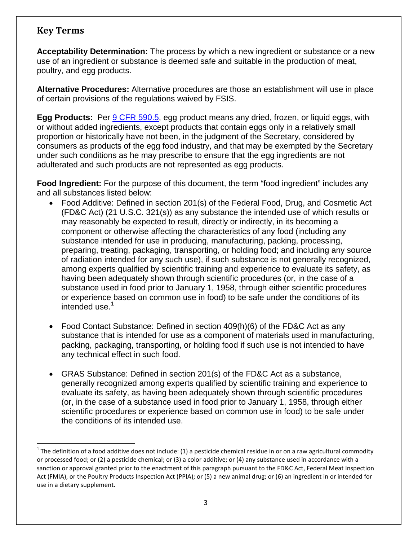#### <span id="page-5-0"></span>**Key Terms**

**Acceptability Determination:** The process by which a new ingredient or substance or a new use of an ingredient or substance is deemed safe and suitable in the production of meat, poultry, and egg products.

**Alternative Procedures:** Alternative procedures are those an establishment will use in place of certain provisions of the regulations waived by FSIS.

**Egg Products:** Per [9 CFR 590.5,](http://www.gpo.gov/fdsys/pkg/CFR-2015-title9-vol2/pdf/CFR-2015-title9-vol2-sec590-5.pdf) egg product means any dried, frozen, or liquid eggs, with or without added ingredients, except products that contain eggs only in a relatively small proportion or historically have not been, in the judgment of the Secretary, considered by consumers as products of the egg food industry, and that may be exempted by the Secretary under such conditions as he may prescribe to ensure that the egg ingredients are not adulterated and such products are not represented as egg products.

**Food Ingredient:** For the purpose of this document, the term "food ingredient" includes any and all substances listed below:

- Food Additive: Defined in section 201(s) of the Federal Food, Drug, and Cosmetic Act (FD&C Act) (21 U.S.C. 321(s)) as any substance the intended use of which results or may reasonably be expected to result, directly or indirectly, in its becoming a component or otherwise affecting the characteristics of any food (including any substance intended for use in producing, manufacturing, packing, processing, preparing, treating, packaging, transporting, or holding food; and including any source of radiation intended for any such use), if such substance is not generally recognized, among experts qualified by scientific training and experience to evaluate its safety, as having been adequately shown through scientific procedures (or, in the case of a substance used in food prior to January 1, 1958, through either scientific procedures or experience based on common use in food) to be safe under the conditions of its intended use.<sup>[1](#page-5-1)</sup>
- Food Contact Substance: Defined in section 409(h)(6) of the FD&C Act as any substance that is intended for use as a component of materials used in manufacturing, packing, packaging, transporting, or holding food if such use is not intended to have any technical effect in such food.
- GRAS Substance: Defined in section 201(s) of the FD&C Act as a substance, generally recognized among experts qualified by scientific training and experience to evaluate its safety, as having been adequately shown through scientific procedures (or, in the case of a substance used in food prior to January 1, 1958, through either scientific procedures or experience based on common use in food) to be safe under the conditions of its intended use.

<span id="page-5-1"></span> $1$  The definition of a food additive does not include: (1) a pesticide chemical residue in or on a raw agricultural commodity or processed food; or (2) a pesticide chemical; or (3) a color additive; or (4) any substance used in accordance with a sanction or approval granted prior to the enactment of this paragraph pursuant to the FD&C Act, Federal Meat Inspection Act (FMIA), or the Poultry Products Inspection Act (PPIA); or (5) a new animal drug; or (6) an ingredient in or intended for use in a dietary supplement.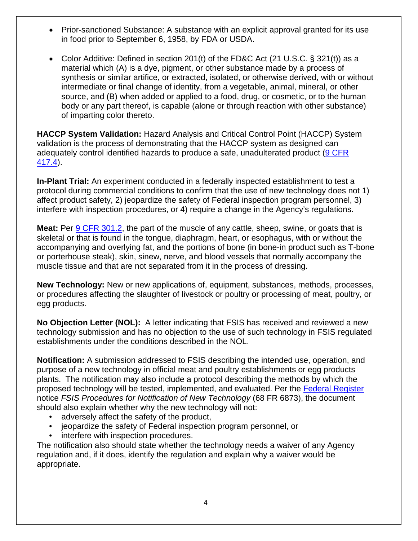- Prior-sanctioned Substance: A substance with an explicit approval granted for its use in food prior to September 6, 1958, by FDA or USDA.
- Color Additive: Defined in section 201(t) of the FD&C Act (21 U.S.C.  $\S$  321(t)) as a material which (A) is a dye, pigment, or other substance made by a process of synthesis or similar artifice, or extracted, isolated, or otherwise derived, with or without intermediate or final change of identity, from a vegetable, animal, mineral, or other source, and (B) when added or applied to a food, drug, or cosmetic, or to the human body or any part thereof, is capable (alone or through reaction with other substance) of imparting color thereto.

**HACCP System Validation:** Hazard Analysis and Critical Control Point (HACCP) System validation is the process of demonstrating that the HACCP system as designed can adequately control identified hazards to produce a safe, unadulterated product [\(9 CFR](http:/www.gpo.gov/fdsys/pkg/CFR-2015-title9-vol2/pdf/CFR-2015-title9-vol2-sec417-4.pdf)  [417.4\)](http:/www.gpo.gov/fdsys/pkg/CFR-2015-title9-vol2/pdf/CFR-2015-title9-vol2-sec417-4.pdf).

**In-Plant Trial:** An experiment conducted in a federally inspected establishment to test a protocol during commercial conditions to confirm that the use of new technology does not 1) affect product safety, 2) jeopardize the safety of Federal inspection program personnel, 3) interfere with inspection procedures, or 4) require a change in the Agency's regulations.

**Meat:** Per [9 CFR 301.2,](http://www.gpo.gov/fdsys/pkg/CFR-2015-title9-vol2/pdf/CFR-2015-title9-vol2-sec301-2.pdf) the part of the muscle of any cattle, sheep, swine, or goats that is skeletal or that is found in the tongue, diaphragm, heart, or esophagus, with or without the accompanying and overlying fat, and the portions of bone (in bone-in product such as T-bone or porterhouse steak), skin, sinew, nerve, and blood vessels that normally accompany the muscle tissue and that are not separated from it in the process of dressing.

**New Technology:** New or new applications of, equipment, substances, methods, processes, or procedures affecting the slaughter of livestock or poultry or processing of meat, poultry, or egg products.

**No Objection Letter (NOL):** A letter indicating that FSIS has received and reviewed a new technology submission and has no objection to the use of such technology in FSIS regulated establishments under the conditions described in the NOL.

**Notification:** A submission addressed to FSIS describing the intended use, operation, and purpose of a new technology in official meat and poultry establishments or egg products plants. The notification may also include a protocol describing the methods by which the proposed technology will be tested, implemented, and evaluated. Per the [Federal Register](http://www.fsis.usda.gov/wps/wcm/connect/f1a4b12a-5416-45e0-9ee5-ebd9d1103f60/00-011N.pdf?MOD=AJPERES) notice *FSIS Procedures for Notification of New Technology* (68 FR 6873), the document should also explain whether why the new technology will not:

- adversely affect the safety of the product,
- jeopardize the safety of Federal inspection program personnel, or
- interfere with inspection procedures.

The notification also should state whether the technology needs a waiver of any Agency regulation and, if it does, identify the regulation and explain why a waiver would be appropriate.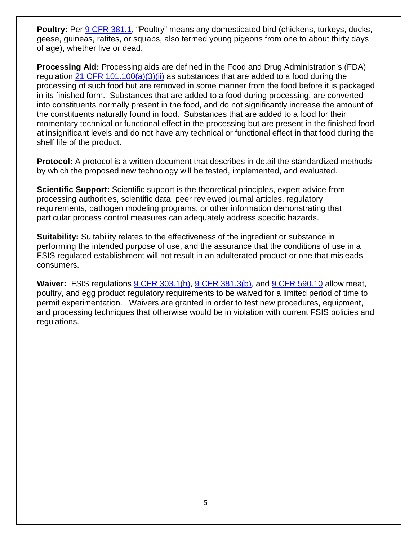**Poultry:** Per [9 CFR 381.1,](http://www.gpo.gov/fdsys/pkg/CFR-2015-title9-vol2/pdf/CFR-2015-title9-vol2-sec301-2.pdf) "Poultry" means any domesticated bird (chickens, turkeys, ducks, geese, guineas, ratites, or squabs, also termed young pigeons from one to about thirty days of age), whether live or dead.

**Processing Aid:** Processing aids are defined in the Food and Drug Administration's (FDA) regulation [21 CFR 101.100\(a\)\(3\)\(ii\)](http://www.gpo.gov/fdsys/pkg/CFR-2014-title21-vol2/pdf/CFR-2014-title21-vol2-sec101-100.pdf) as substances that are added to a food during the processing of such food but are removed in some manner from the food before it is packaged in its finished form. Substances that are added to a food during processing, are converted into constituents normally present in the food, and do not significantly increase the amount of the constituents naturally found in food. Substances that are added to a food for their momentary technical or functional effect in the processing but are present in the finished food at insignificant levels and do not have any technical or functional effect in that food during the shelf life of the product.

**Protocol:** A protocol is a written document that describes in detail the standardized methods by which the proposed new technology will be tested, implemented, and evaluated.

**Scientific Support:** Scientific support is the theoretical principles, expert advice from processing authorities, scientific data, peer reviewed journal articles, regulatory requirements, pathogen modeling programs, or other information demonstrating that particular process control measures can adequately address specific hazards.

**Suitability:** Suitability relates to the effectiveness of the ingredient or substance in performing the intended purpose of use, and the assurance that the conditions of use in a FSIS regulated establishment will not result in an adulterated product or one that misleads consumers.

**Waiver:** FSIS regulations [9 CFR 303.1\(h\),](http://www.gpo.gov/fdsys/pkg/CFR-2015-title9-vol2/pdf/CFR-2015-title9-vol2-sec301-2.pdf) [9 CFR 381.3\(b\),](http://www.gpo.gov/fdsys/pkg/CFR-2015-title9-vol2/pdf/CFR-2015-title9-vol2-sec381-3.pdf) and [9 CFR 590.10](http://www.gpo.gov/fdsys/pkg/CFR-2015-title9-vol2/pdf/CFR-2015-title9-vol2-sec590-10.pdf) allow meat, poultry, and egg product regulatory requirements to be waived for a limited period of time to permit experimentation.Waivers are granted in order to test new procedures, equipment, and processing techniques that otherwise would be in violation with current FSIS policies and regulations.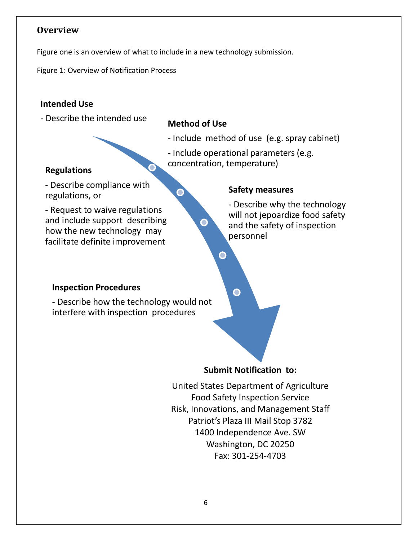#### <span id="page-8-0"></span>**Overview**

Figure one is an overview of what to include in a new technology submission.

Figure 1: Overview of Notification Process

#### **Intended Use**

- Describe the intended use **Method of Use**

O

O

 $\bullet$ 

- Include method of use (e.g. spray cabinet)
- Include operational parameters (e.g. **Regulations Regulations Regulations Regulations Regulations Regulations**

- Describe compliance with regulations, or

- Request to waive regulations and include support describing how the new technology may facilitate definite improvement

#### **Safety measures**

- Describe why the technology will not jepoardize food safety and the safety of inspection personnel

#### **Inspection Procedures**

- Describe how the technology would not interfere with inspection procedures

**Submit Notification to:**

United States Department of Agriculture Food Safety Inspection Service Risk, Innovations, and Management Staff Patriot's Plaza III Mail Stop 3782 1400 Independence Ave. SW Washington, DC 20250 Fax: 301-254-4703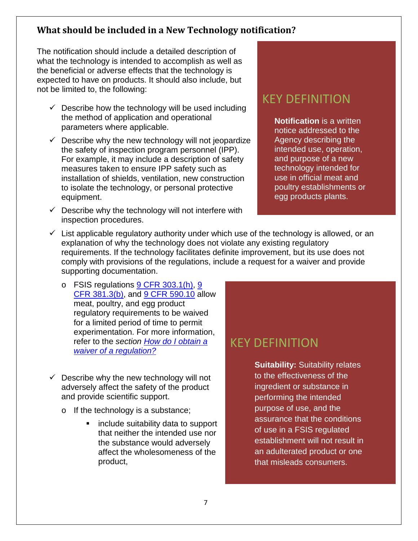#### <span id="page-9-0"></span>**What should be included in a New Technology notification?**

The notification should include a detailed description of what the technology is intended to accomplish as well as the beneficial or adverse effects that the technology is expected to have on products. It should also include, but not be limited to, the following:

- $\checkmark$  Describe how the technology will be used including the method of application and operational parameters where applicable.
- $\checkmark$  Describe why the new technology will not jeopardize the safety of inspection program personnel (IPP). For example, it may include a description of safety measures taken to ensure IPP safety such as installation of shields, ventilation, new construction to isolate the technology, or personal protective equipment.
- $\checkmark$  Describe why the technology will not interfere with inspection procedures.

## KEY DEFINITION

**Notification** is a written notice addressed to the Agency describing the intended use, operation, and purpose of a new technology intended for use in official meat and poultry establishments or egg products plants.

- $\checkmark$  List applicable regulatory authority under which use of the technology is allowed, or an explanation of why the technology does not violate any existing regulatory requirements. If the technology facilitates definite improvement, but its use does not comply with provisions of the regulations, include a request for a waiver and provide supporting documentation.
	- o FSIS regulations [9 CFR 303.1\(h\),](http://www.gpo.gov/fdsys/pkg/CFR-2015-title9-vol2/pdf/CFR-2015-title9-vol2-sec303-1.pdf) 9 [CFR 381.3\(b\),](http://www.gpo.gov/fdsys/pkg/CFR-2015-title9-vol2/pdf/CFR-2015-title9-vol2-sec381-3.pdf) and [9 CFR 590.10](http://www.gpo.gov/fdsys/pkg/CFR-2015-title9-vol2/pdf/CFR-2015-title9-vol2-sec590-10.pdf) allow meat, poultry, and egg product regulatory requirements to be waived for a limited period of time to permit experimentation. For more information, refer to the *section [How do I obtain a](#page-15-0)  waiver of [a regulation?](#page-15-0)*
- $\checkmark$  Describe why the new technology will not adversely affect the safety of the product and provide scientific support.
	- o If the technology is a substance;
		- include suitability data to support that neither the intended use nor the substance would adversely affect the wholesomeness of the product,

## KEY DEFINITION

**Suitability:** Suitability relates to the effectiveness of the ingredient or substance in performing the intended purpose of use, and the assurance that the conditions of use in a FSIS regulated establishment will not result in an adulterated product or one that misleads consumers.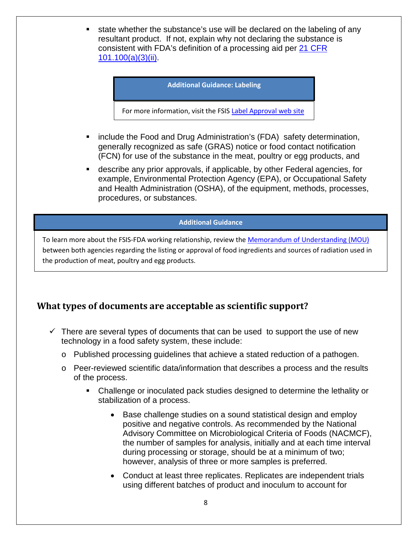state whether the substance's use will be declared on the labeling of any resultant product. If not, explain why not declaring the substance is consistent with FDA's definition of a processing aid per [21 CFR](http://www.gpo.gov/fdsys/pkg/CFR-2014-title21-vol2/pdf/CFR-2014-title21-vol2-sec101-100.pdf)  [101.100\(a\)\(3\)\(ii\).](http://www.gpo.gov/fdsys/pkg/CFR-2014-title21-vol2/pdf/CFR-2014-title21-vol2-sec101-100.pdf)

#### **Additional Guidance: Labeling**

For more information, visit the FSIS [Label Approval web site](http://www.fsis.usda.gov/wps/portal/fsis/topics/regulatory-compliance/labeling)

- **EXT** include the Food and Drug Administration's (FDA) safety determination, generally recognized as safe (GRAS) notice or food contact notification (FCN) for use of the substance in the meat, poultry or egg products, and
- describe any prior approvals, if applicable, by other Federal agencies, for example, Environmental Protection Agency (EPA), or Occupational Safety and Health Administration (OSHA), of the equipment, methods, processes, procedures, or substances.

#### **Additional Guidance**

To learn more about the FSIS-FDA working relationship, review the [Memorandum of Understanding \(MOU\)](http://www.fsis.usda.gov/wps/portal/fsis/topics/regulations/directives/7000-series/mou-fsis-fda) between both agencies regarding the listing or approval of food ingredients and sources of radiation used in the production of meat, poultry and egg products.

#### <span id="page-10-0"></span>**What types of documents are acceptable as scientific support?**

- $\checkmark$  There are several types of documents that can be used to support the use of new technology in a food safety system, these include:
	- o Published processing guidelines that achieve a stated reduction of a pathogen.
	- o Peer-reviewed scientific data/information that describes a process and the results of the process.
		- Challenge or inoculated pack studies designed to determine the lethality or stabilization of a process.
			- Base challenge studies on a sound statistical design and employ positive and negative controls. As recommended by the National Advisory Committee on Microbiological Criteria of Foods (NACMCF), the number of samples for analysis, initially and at each time interval during processing or storage, should be at a minimum of two; however, analysis of three or more samples is preferred.
			- Conduct at least three replicates. Replicates are independent trials using different batches of product and inoculum to account for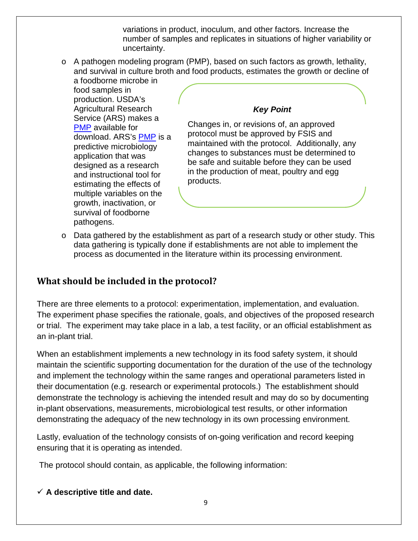variations in product, inoculum, and other factors. Increase the number of samples and replicates in situations of higher variability or uncertainty.

 $\circ$  A pathogen modeling program (PMP), based on such factors as growth, lethality, and survival in culture broth and food products, estimates the growth or decline of

a foodborne microbe in food samples in production. USDA's Agricultural Research Service (ARS) makes a [PMP](http://ars.usda.gov/Services/docs.htm?docid=11550) available for download. ARS's [PMP](http://ars.usda.gov/Services/docs.htm?docid=11550) is a predictive microbiology application that was designed as a research and instructional tool for estimating the effects of multiple variables on the growth, inactivation, or survival of foodborne pathogens.

#### *Key Point*

Changes in, or revisions of, an approved protocol must be approved by FSIS and maintained with the protocol. Additionally, any changes to substances must be determined to be safe and suitable before they can be used in the production of meat, poultry and egg products.

 $\circ$  Data gathered by the establishment as part of a research study or other study. This data gathering is typically done if establishments are not able to implement the process as documented in the literature within its processing environment.

#### <span id="page-11-0"></span>**What should be included in the protocol?**

There are three elements to a protocol: experimentation, implementation, and evaluation. The experiment phase specifies the rationale, goals, and objectives of the proposed research or trial. The experiment may take place in a lab, a test facility, or an official establishment as an in-plant trial.

When an establishment implements a new technology in its food safety system, it should maintain the scientific supporting documentation for the duration of the use of the technology and implement the technology within the same ranges and operational parameters listed in their documentation (e.g. research or experimental protocols.) The establishment should demonstrate the technology is achieving the intended result and may do so by documenting in-plant observations, measurements, microbiological test results, or other information demonstrating the adequacy of the new technology in its own processing environment.

Lastly, evaluation of the technology consists of on-going verification and record keeping ensuring that it is operating as intended.

The protocol should contain, as applicable, the following information:

 $\checkmark$  A descriptive title and date.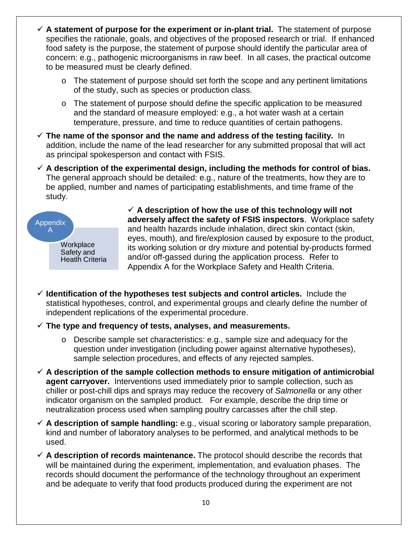- **A statement of purpose for the experiment or in-plant trial.** The statement of purpose specifies the rationale, goals, and objectives of the proposed research or trial. If enhanced food safety is the purpose, the statement of purpose should identify the particular area of concern: e.g., pathogenic microorganisms in raw beef. In all cases, the practical outcome to be measured must be clearly defined.
	- o The statement of purpose should set forth the scope and any pertinent limitations of the study, such as species or production class.
	- o The statement of purpose should define the specific application to be measured and the standard of measure employed: e.g., a hot water wash at a certain temperature, pressure, and time to reduce quantities of certain pathogens.
- **The name of the sponsor and the name and address of the testing facility.** In addition, include the name of the lead researcher for any submitted proposal that will act as principal spokesperson and contact with FSIS.
- **A description of the experimental design, including the methods for control of bias.**  The general approach should be detailed: e.g., nature of the treatments, how they are to be applied, number and names of participating establishments, and time frame of the study.



 $\checkmark$  A description of how the use of this technology will not **adversely affect the safety of FSIS inspectors**. Workplace safety and health hazards include inhalation, direct skin contact (skin, eyes, mouth), and fire/explosion caused by exposure to the product, its working solution or dry mixture and potential by-products formed and/or off-gassed during the application process. Refer to Appendix A for the Workplace Safety and Health Criteria.

- **Identification of the hypotheses test subjects and control articles.** Include the statistical hypotheses, control, and experimental groups and clearly define the number of independent replications of the experimental procedure.
- **The type and frequency of tests, analyses, and measurements.** 
	- o Describe sample set characteristics: e.g., sample size and adequacy for the question under investigation (including power against alternative hypotheses), sample selection procedures, and effects of any rejected samples.
- **A description of the sample collection methods to ensure mitigation of antimicrobial agent carryover.** Interventions used immediately prior to sample collection, such as chiller or post-chill dips and sprays may reduce the recovery of *Salmonella* or any other indicator organism on the sampled product. For example, describe the drip time or neutralization process used when sampling poultry carcasses after the chill step.
- **A description of sample handling:** e.g., visual scoring or laboratory sample preparation, kind and number of laboratory analyses to be performed, and analytical methods to be used.
- **A description of records maintenance.** The protocol should describe the records that will be maintained during the experiment, implementation, and evaluation phases. The records should document the performance of the technology throughout an experiment and be adequate to verify that food products produced during the experiment are not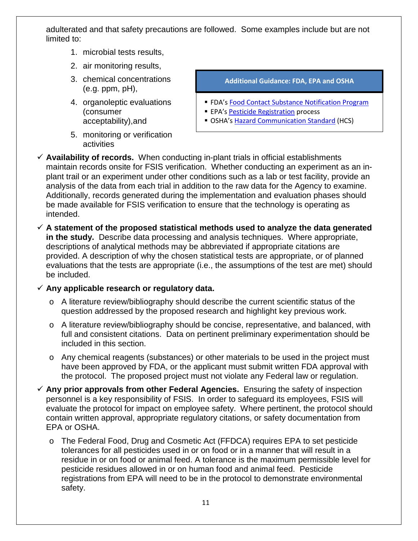adulterated and that safety precautions are followed. Some examples include but are not limited to:

- 1. microbial tests results,
- 2. air monitoring results,
- 3. chemical concentrations (e.g. ppm, pH),
- 4. organoleptic evaluations (consumer acceptability),and
- 5. monitoring or verification activities

**Additional Guidance: FDA, EPA and OSHA**

- **FDA's [Food Contact Substance Notification Program](http://www.fda.gov/Food/IngredientsPackagingLabeling/PackagingFCS/ucm064161.htm)**
- **EPA's [Pesticide Registration](http://www2.epa.gov/pesticide-registration/about-pesticide-registration) process**
- **DISTA'[s Hazard Communication Standard](https://www.osha.gov/dsg/hazcom/index.html) (HCS)**
- $\checkmark$  Availability of records. When conducting in-plant trials in official establishments maintain records onsite for FSIS verification. Whether conducting an experiment as an inplant trail or an experiment under other conditions such as a lab or test facility, provide an analysis of the data from each trial in addition to the raw data for the Agency to examine. Additionally, records generated during the implementation and evaluation phases should be made available for FSIS verification to ensure that the technology is operating as intended.
- **A statement of the proposed statistical methods used to analyze the data generated in the study.** Describe data processing and analysis techniques. Where appropriate, descriptions of analytical methods may be abbreviated if appropriate citations are provided. A description of why the chosen statistical tests are appropriate, or of planned evaluations that the tests are appropriate (i.e., the assumptions of the test are met) should be included.

#### **Any applicable research or regulatory data.**

- o A literature review/bibliography should describe the current scientific status of the question addressed by the proposed research and highlight key previous work.
- o A literature review/bibliography should be concise, representative, and balanced, with full and consistent citations. Data on pertinent preliminary experimentation should be included in this section.
- o Any chemical reagents (substances) or other materials to be used in the project must have been approved by FDA, or the applicant must submit written FDA approval with the protocol. The proposed project must not violate any Federal law or regulation.
- **Any prior approvals from other Federal Agencies.** Ensuring the safety of inspection personnel is a key responsibility of FSIS. In order to safeguard its employees, FSIS will evaluate the protocol for impact on employee safety. Where pertinent, the protocol should contain written approval, appropriate regulatory citations, or safety documentation from EPA or OSHA.
	- o The Federal Food, Drug and Cosmetic Act (FFDCA) requires EPA to set pesticide tolerances for all pesticides used in or on food or in a manner that will result in a residue in or on food or animal feed. A tolerance is the maximum permissible level for pesticide residues allowed in or on human food and animal feed. Pesticide registrations from EPA will need to be in the protocol to demonstrate environmental safety.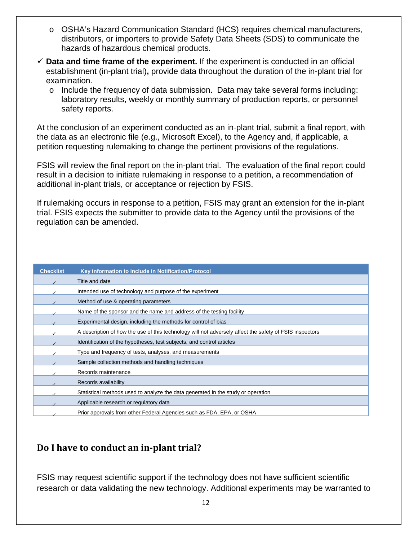- o OSHA's Hazard Communication Standard (HCS) requires chemical manufacturers, distributors, or importers to provide Safety Data Sheets (SDS) to communicate the hazards of hazardous chemical products.
- $\checkmark$  Data and time frame of the experiment. If the experiment is conducted in an official establishment (in-plant trial)**,** provide data throughout the duration of the in-plant trial for examination.
	- o Include the frequency of data submission. Data may take several forms including: laboratory results, weekly or monthly summary of production reports, or personnel safety reports.

At the conclusion of an experiment conducted as an in-plant trial, submit a final report, with the data as an electronic file (e.g., Microsoft Excel), to the Agency and, if applicable, a petition requesting rulemaking to change the pertinent provisions of the regulations.

FSIS will review the final report on the in-plant trial. The evaluation of the final report could result in a decision to initiate rulemaking in response to a petition, a recommendation of additional in-plant trials, or acceptance or rejection by FSIS.

If rulemaking occurs in response to a petition, FSIS may grant an extension for the in-plant trial. FSIS expects the submitter to provide data to the Agency until the provisions of the regulation can be amended.

| <b>Checklist</b> | Key information to include in Notification/Protocol                                                     |
|------------------|---------------------------------------------------------------------------------------------------------|
|                  | Title and date                                                                                          |
|                  | Intended use of technology and purpose of the experiment                                                |
|                  | Method of use & operating parameters                                                                    |
|                  | Name of the sponsor and the name and address of the testing facility                                    |
|                  | Experimental design, including the methods for control of bias                                          |
|                  | A description of how the use of this technology will not adversely affect the safety of FSIS inspectors |
|                  | Identification of the hypotheses, test subjects, and control articles                                   |
|                  | Type and frequency of tests, analyses, and measurements                                                 |
|                  | Sample collection methods and handling techniques                                                       |
|                  | Records maintenance                                                                                     |
|                  | Records availability                                                                                    |
|                  | Statistical methods used to analyze the data generated in the study or operation                        |
|                  | Applicable research or regulatory data                                                                  |
|                  | Prior approvals from other Federal Agencies such as FDA, EPA, or OSHA                                   |

#### <span id="page-14-0"></span>**Do I have to conduct an in-plant trial?**

FSIS may request scientific support if the technology does not have sufficient scientific research or data validating the new technology. Additional experiments may be warranted to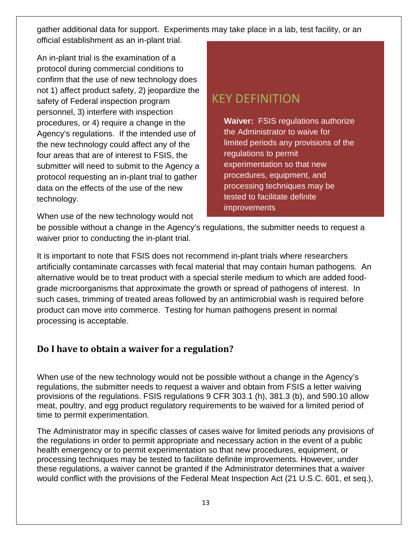<span id="page-15-0"></span>gather additional data for support. Experiments may take place in a lab, test facility, or an official establishment as an in-plant trial.

An in-plant trial is the examination of a protocol during commercial conditions to confirm that the use of new technology does not 1) affect product safety, 2) jeopardize the safety of Federal inspection program personnel, 3) interfere with inspection procedures, or 4) require a change in the Agency's regulations. If the intended use of the new technology could affect any of the four areas that are of interest to FSIS, the submitter will need to submit to the Agency a protocol requesting an in-plant trial to gather data on the effects of the use of the new technology.

When use of the new technology would not

## KEY DEFINITION

**Waiver:** FSIS regulations authorize the Administrator to waive for limited periods any provisions of the regulations to permit experimentation so that new procedures, equipment, and processing techniques may be tested to facilitate definite improvements

be possible without a change in the Agency's regulations, the submitter needs to request a waiver prior to conducting the in-plant trial.

It is important to note that FSIS does not recommend in-plant trials where researchers artificially contaminate carcasses with fecal material that may contain human pathogens. An alternative would be to treat product with a special sterile medium to which are added foodgrade microorganisms that approximate the growth or spread of pathogens of interest. In such cases, trimming of treated areas followed by an antimicrobial wash is required before product can move into commerce. Testing for human pathogens present in normal processing is acceptable.

#### **Do I have to obtain a waiver for a regulation?**

When use of the new technology would not be possible without a change in the Agency's regulations, the submitter needs to request a waiver and obtain from FSIS a letter waiving provisions of the regulations. FSIS regulations 9 CFR 303.1 (h), 381.3 (b), and 590.10 allow meat, poultry, and egg product regulatory requirements to be waived for a limited period of time to permit experimentation.

The Administrator may in specific classes of cases waive for limited periods any provisions of the regulations in order to permit appropriate and necessary action in the event of a public health emergency or to permit experimentation so that new procedures, equipment, or processing techniques may be tested to facilitate definite improvements. However, under these regulations, a waiver cannot be granted if the Administrator determines that a waiver would conflict with the provisions of the Federal Meat Inspection Act (21 U.S.C. 601, et seq.),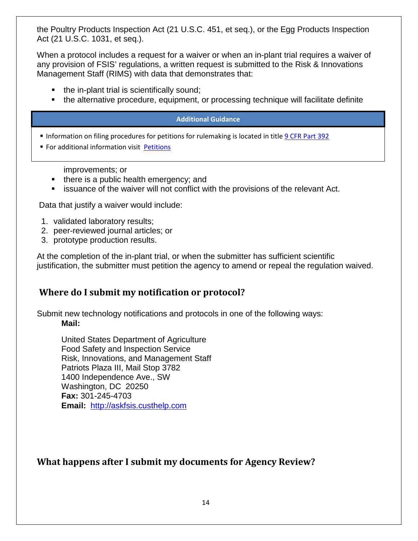the Poultry Products Inspection Act (21 U.S.C. 451, et seq.), or the Egg Products Inspection Act (21 U.S.C. 1031, et seq.).

When a protocol includes a request for a waiver or when an in-plant trial requires a waiver of any provision of FSIS' regulations, a written request is submitted to the Risk & Innovations Management Staff (RIMS) with data that demonstrates that:

- $\blacksquare$  the in-plant trial is scientifically sound;
- the alternative procedure, equipment, or processing technique will facilitate definite

#### **Additional Guidance**

Information on filing procedures for petitions for rulemaking is located in titl[e 9 CFR](http://www.gpo.gov/fdsys/pkg/CFR-2015-title9-vol2/pdf/CFR-2015-title9-vol2-part392.pdf) Part 392

**For additional information visit [Petitions](http://www.fsis.usda.gov/wps/portal/fsis/topics/regulations/petitions/petitions)** 

improvements; or

- $\blacksquare$  there is a public health emergency; and
- **EXECT** issuance of the waiver will not conflict with the provisions of the relevant Act.

Data that justify a waiver would include:

- 1. validated laboratory results;
- 2. peer-reviewed journal articles; or
- 3. prototype production results.

At the completion of the in-plant trial, or when the submitter has sufficient scientific justification, the submitter must petition the agency to amend or repeal the regulation waived.

#### <span id="page-16-0"></span>**Where do I submit my notification or protocol?**

Submit new technology notifications and protocols in one of the following ways: **Mail:**

United States Department of Agriculture Food Safety and Inspection Service Risk, Innovations, and Management Staff Patriots Plaza III, Mail Stop 3782 1400 Independence Ave., SW Washington, DC 20250 **Fax:** 301-245-4703 **Email:** [http://askfsis.custhelp.com](http://askfsis.custhelp.com/)

#### <span id="page-16-1"></span>**What happens after I submit my documents for Agency Review?**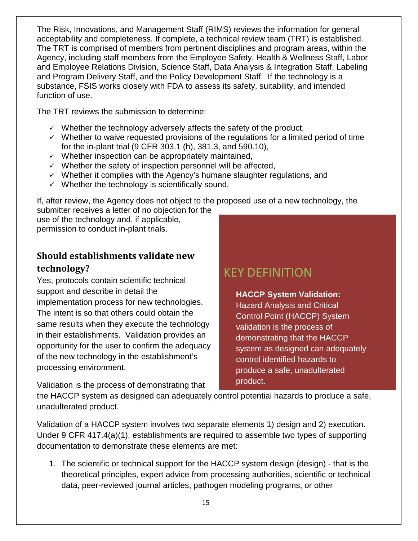The Risk, Innovations, and Management Staff (RIMS) reviews the information for general acceptability and completeness. If complete, a technical review team (TRT) is established. The TRT is comprised of members from pertinent disciplines and program areas, within the Agency, including staff members from the Employee Safety, Health & Wellness Staff, Labor and Employee Relations Division, Science Staff, Data Analysis & Integration Staff, Labeling and Program Delivery Staff, and the Policy Development Staff. If the technology is a substance, FSIS works closely with FDA to assess its safety, suitability, and intended function of use.

The TRT reviews the submission to determine:

- $\checkmark$  Whether the technology adversely affects the safety of the product,
- $\checkmark$  Whether to waive requested provisions of the regulations for a limited period of time for the in-plant trial (9 CFR 303.1 (h), 381.3, and 590.10),
- $\checkmark$  Whether inspection can be appropriately maintained,
- $\checkmark$  Whether the safety of inspection personnel will be affected,
- $\checkmark$  Whether it complies with the Agency's humane slaughter regulations, and
- $\checkmark$  Whether the technology is scientifically sound.

If, after review, the Agency does not object to the proposed use of a new technology, the submitter receives a letter of no objection for the

use of the technology and, if applicable, permission to conduct in-plant trials.

#### <span id="page-17-0"></span>**Should establishments validate new technology?**

Yes, protocols contain scientific technical support and describe in detail the implementation process for new technologies. The intent is so that others could obtain the same results when they execute the technology in their establishments. Validation provides an opportunity for the user to confirm the adequacy of the new technology in the establishment's processing environment.

KEY DEFINITION

**HACCP System Validation:**  Hazard Analysis and Critical Control Point (HACCP) System validation is the process of demonstrating that the HACCP system as designed can adequately control identified hazards to produce a safe, unadulterated product.

Validation is the process of demonstrating that

the HACCP system as designed can adequately control potential hazards to produce a safe, unadulterated product.

Validation of a HACCP system involves two separate elements 1) design and 2) execution. Under 9 CFR 417.4(a)(1), establishments are required to assemble two types of supporting documentation to demonstrate these elements are met:

1. The scientific or technical support for the HACCP system design (design) - that is the theoretical principles, expert advice from processing authorities, scientific or technical data, peer-reviewed journal articles, pathogen modeling programs, or other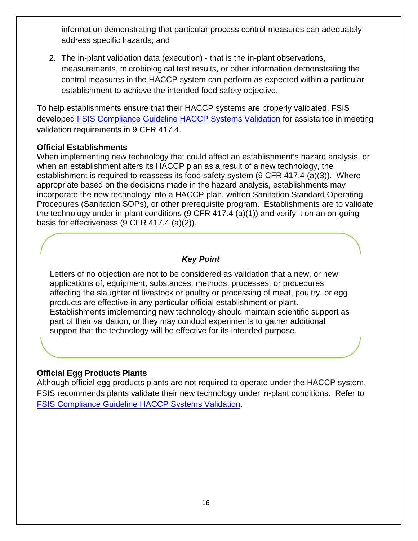information demonstrating that particular process control measures can adequately address specific hazards; and

2. The in-plant validation data (execution) - that is the in-plant observations, measurements, microbiological test results, or other information demonstrating the control measures in the HACCP system can perform as expected within a particular establishment to achieve the intended food safety objective.

To help establishments ensure that their HACCP systems are properly validated, FSIS developed [FSIS Compliance Guideline HACCP Systems Validation](http://www.fsis.usda.gov/wps/wcm/connect/a70bb780-e1ff-4a35-9a9a-3fb40c8fe584/HACCP_Systems_Validation.pdf?MOD=AJPERES) for assistance in meeting validation requirements in 9 CFR 417.4.

#### **Official Establishments**

When implementing new technology that could affect an establishment's hazard analysis, or when an establishment alters its HACCP plan as a result of a new technology, the establishment is required to reassess its food safety system (9 CFR 417.4 (a)(3)). Where appropriate based on the decisions made in the hazard analysis, establishments may incorporate the new technology into a HACCP plan, written Sanitation Standard Operating Procedures (Sanitation SOPs), or other prerequisite program. Establishments are to validate the technology under in-plant conditions (9 CFR 417.4 (a)(1)) and verify it on an on-going basis for effectiveness (9 CFR 417.4 (a)(2)).

#### *Key Point*

Letters of no objection are not to be considered as validation that a new, or new applications of, equipment, substances, methods, processes, or procedures affecting the slaughter of livestock or poultry or processing of meat, poultry, or egg products are effective in any particular official establishment or plant. Establishments implementing new technology should maintain scientific support as part of their validation, or they may conduct experiments to gather additional support that the technology will be effective for its intended purpose.

#### **Official Egg Products Plants**

Although official egg products plants are not required to operate under the HACCP system, FSIS recommends plants validate their new technology under in-plant conditions. Refer to [FSIS Compliance Guideline HACCP Systems Validation.](http://www.fsis.usda.gov/wps/wcm/connect/a70bb780-e1ff-4a35-9a9a-3fb40c8fe584/HACCP_Systems_Validation.pdf?MOD=AJPERES)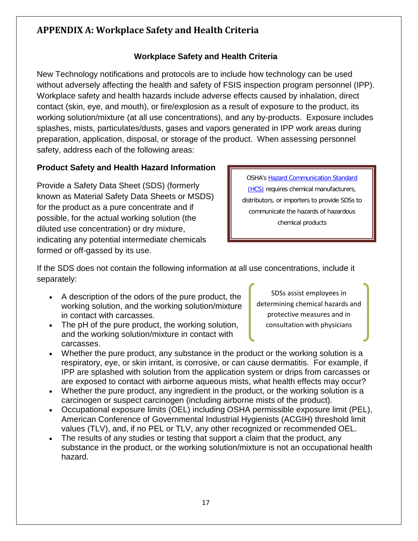### <span id="page-19-0"></span>**APPENDIX A: Workplace Safety and Health Criteria**

#### **Workplace Safety and Health Criteria**

New Technology notifications and protocols are to include how technology can be used without adversely affecting the health and safety of FSIS inspection program personnel (IPP). Workplace safety and health hazards include adverse effects caused by inhalation, direct contact (skin, eye, and mouth), or fire/explosion as a result of exposure to the product, its working solution/mixture (at all use concentrations), and any by-products. Exposure includes splashes, mists, particulates/dusts, gases and vapors generated in IPP work areas during preparation, application, disposal, or storage of the product. When assessing personnel safety, address each of the following areas:

#### **Product Safety and Health Hazard Information**

Provide a Safety Data Sheet (SDS) (formerly known as Material Safety Data Sheets or MSDS) for the product as a pure concentrate and if possible, for the actual working solution (the diluted use concentration) or dry mixture, indicating any potential intermediate chemicals formed or off-gassed by its use.

OSHA's [Hazard Communication Standard](https://www.osha.gov/dsg/hazcom/index.html)  [\(HCS\)](https://www.osha.gov/dsg/hazcom/index.html) requires chemical manufacturers, distributors, or importers to provide SDSs to communicate the hazards of hazardous chemical products

Ī

If the SDS does not contain the following information at all use concentrations, include it separately:

- A description of the odors of the pure product, the working solution, and the working solution/mixture in contact with carcasses.
- The pH of the pure product, the working solution, and the working solution/mixture in contact with carcasses.

SDSs assist employees in determining chemical hazards and protective measures and in consultation with physicians

- Whether the pure product, any substance in the product or the working solution is a respiratory, eye, or skin irritant, is corrosive, or can cause dermatitis. For example, if IPP are splashed with solution from the application system or drips from carcasses or are exposed to contact with airborne aqueous mists, what health effects may occur?
- Whether the pure product, any ingredient in the product, or the working solution is a carcinogen or suspect carcinogen (including airborne mists of the product).
- Occupational exposure limits (OEL) including OSHA permissible exposure limit (PEL), American Conference of Governmental Industrial Hygienists (ACGIH) threshold limit values (TLV), and, if no PEL or TLV, any other recognized or recommended OEL.
- The results of any studies or testing that support a claim that the product, any substance in the product, or the working solution/mixture is not an occupational health hazard.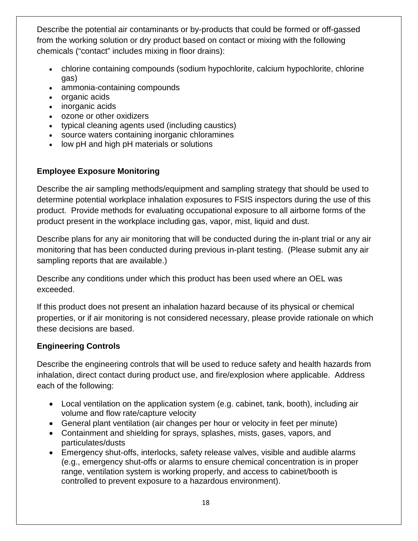Describe the potential air contaminants or by-products that could be formed or off-gassed from the working solution or dry product based on contact or mixing with the following chemicals ("contact" includes mixing in floor drains):

- chlorine containing compounds (sodium hypochlorite, calcium hypochlorite, chlorine gas)
- ammonia-containing compounds
- organic acids
- inorganic acids
- ozone or other oxidizers
- typical cleaning agents used (including caustics)
- source waters containing inorganic chloramines
- low pH and high pH materials or solutions

#### **Employee Exposure Monitoring**

Describe the air sampling methods/equipment and sampling strategy that should be used to determine potential workplace inhalation exposures to FSIS inspectors during the use of this product. Provide methods for evaluating occupational exposure to all airborne forms of the product present in the workplace including gas, vapor, mist, liquid and dust.

Describe plans for any air monitoring that will be conducted during the in-plant trial or any air monitoring that has been conducted during previous in-plant testing. (Please submit any air sampling reports that are available.)

Describe any conditions under which this product has been used where an OEL was exceeded.

If this product does not present an inhalation hazard because of its physical or chemical properties, or if air monitoring is not considered necessary, please provide rationale on which these decisions are based.

#### **Engineering Controls**

Describe the engineering controls that will be used to reduce safety and health hazards from inhalation, direct contact during product use, and fire/explosion where applicable. Address each of the following:

- Local ventilation on the application system (e.g. cabinet, tank, booth), including air volume and flow rate/capture velocity
- General plant ventilation (air changes per hour or velocity in feet per minute)
- Containment and shielding for sprays, splashes, mists, gases, vapors, and particulates/dusts
- Emergency shut-offs, interlocks, safety release valves, visible and audible alarms (e.g., emergency shut-offs or alarms to ensure chemical concentration is in proper range, ventilation system is working properly, and access to cabinet/booth is controlled to prevent exposure to a hazardous environment).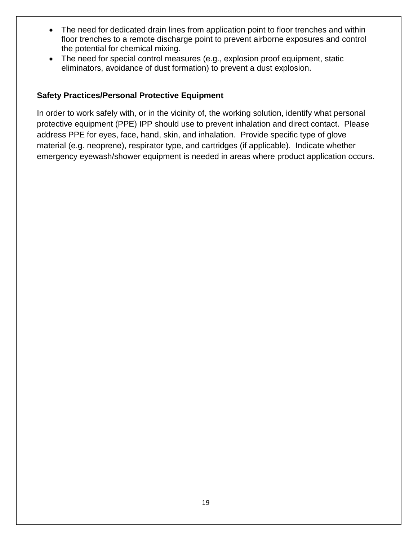- The need for dedicated drain lines from application point to floor trenches and within floor trenches to a remote discharge point to prevent airborne exposures and control the potential for chemical mixing.
- The need for special control measures (e.g., explosion proof equipment, static eliminators, avoidance of dust formation) to prevent a dust explosion.

#### **Safety Practices/Personal Protective Equipment**

In order to work safely with, or in the vicinity of, the working solution, identify what personal protective equipment (PPE) IPP should use to prevent inhalation and direct contact. Please address PPE for eyes, face, hand, skin, and inhalation. Provide specific type of glove material (e.g. neoprene), respirator type, and cartridges (if applicable). Indicate whether emergency eyewash/shower equipment is needed in areas where product application occurs.